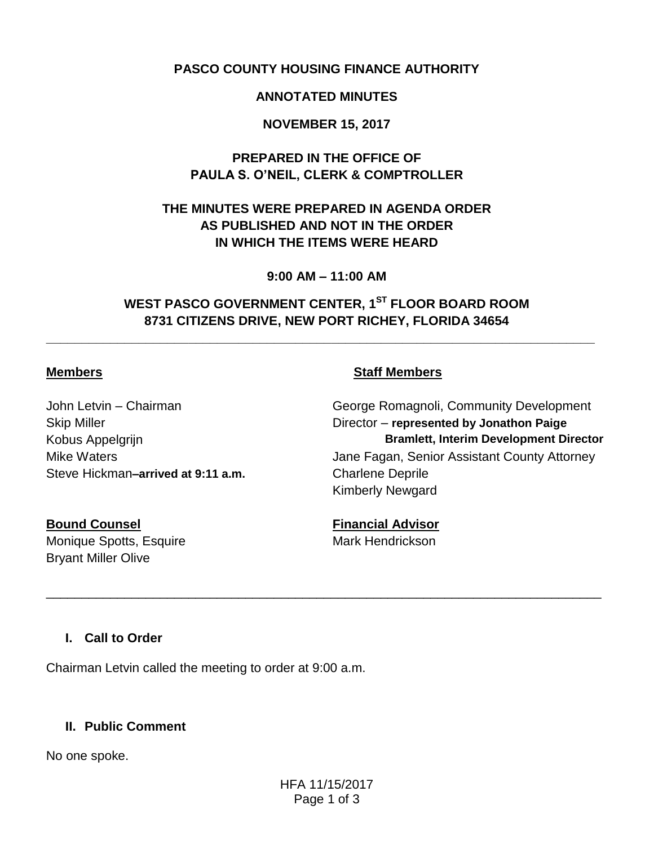## **PASCO COUNTY HOUSING FINANCE AUTHORITY**

### **ANNOTATED MINUTES**

#### **NOVEMBER 15, 2017**

# **PREPARED IN THE OFFICE OF PAULA S. O'NEIL, CLERK & COMPTROLLER**

# **THE MINUTES WERE PREPARED IN AGENDA ORDER AS PUBLISHED AND NOT IN THE ORDER IN WHICH THE ITEMS WERE HEARD**

#### **9:00 AM – 11:00 AM**

# **WEST PASCO GOVERNMENT CENTER, 1 ST FLOOR BOARD ROOM 8731 CITIZENS DRIVE, NEW PORT RICHEY, FLORIDA 34654**

**\_\_\_\_\_\_\_\_\_\_\_\_\_\_\_\_\_\_\_\_\_\_\_\_\_\_\_\_\_\_\_\_\_\_\_\_\_\_\_\_\_\_\_\_\_\_\_\_\_\_\_\_\_\_\_\_\_\_\_\_\_\_\_\_\_\_\_\_\_\_\_\_\_\_\_\_\_**

Steve Hickman-arrived at 9:11 a.m. Charlene Deprile

# **Members Staff Members**

John Letvin – Chairman Theorge Romagnoli, Community Development Skip Miller **Nights and Skip Miller** Director – **represented by Jonathon Paige** Kobus Appelgrijn **Bramlett, Interim Development Director** Mike Waters **Mike Waters** Jane Fagan, Senior Assistant County Attorney Kimberly Newgard

**Bound Counsel Financial Advisor** Monique Spotts, Esquire Mark Hendrickson Bryant Miller Olive

# **I. Call to Order**

Chairman Letvin called the meeting to order at 9:00 a.m.

# **II. Public Comment**

No one spoke.

\_\_\_\_\_\_\_\_\_\_\_\_\_\_\_\_\_\_\_\_\_\_\_\_\_\_\_\_\_\_\_\_\_\_\_\_\_\_\_\_\_\_\_\_\_\_\_\_\_\_\_\_\_\_\_\_\_\_\_\_\_\_\_\_\_\_\_\_\_\_\_\_\_\_\_\_\_\_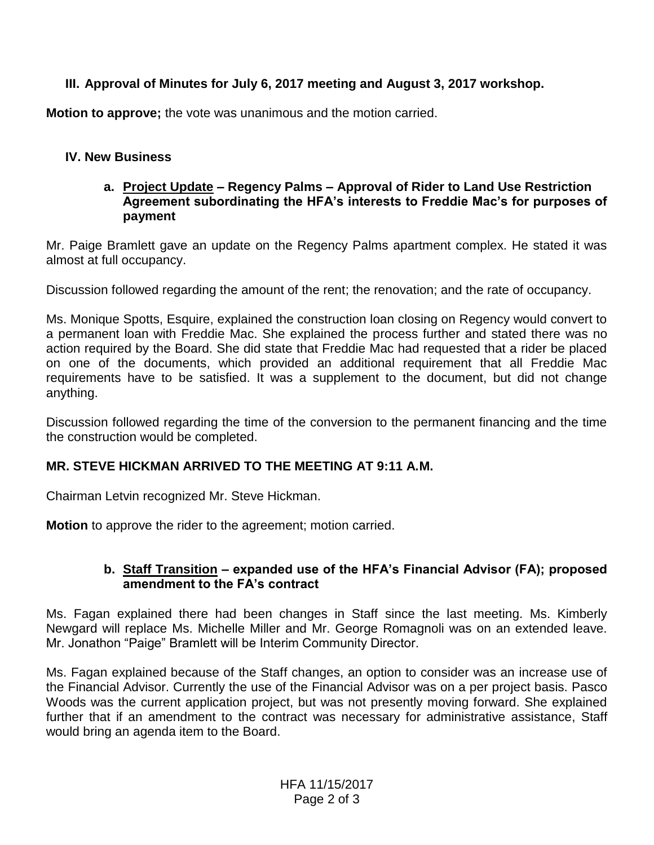# **III. Approval of Minutes for July 6, 2017 meeting and August 3, 2017 workshop.**

**Motion to approve;** the vote was unanimous and the motion carried.

### **IV. New Business**

#### **a. Project Update – Regency Palms – Approval of Rider to Land Use Restriction Agreement subordinating the HFA's interests to Freddie Mac's for purposes of payment**

Mr. Paige Bramlett gave an update on the Regency Palms apartment complex. He stated it was almost at full occupancy.

Discussion followed regarding the amount of the rent; the renovation; and the rate of occupancy.

Ms. Monique Spotts, Esquire, explained the construction loan closing on Regency would convert to a permanent loan with Freddie Mac. She explained the process further and stated there was no action required by the Board. She did state that Freddie Mac had requested that a rider be placed on one of the documents, which provided an additional requirement that all Freddie Mac requirements have to be satisfied. It was a supplement to the document, but did not change anything.

Discussion followed regarding the time of the conversion to the permanent financing and the time the construction would be completed.

# **MR. STEVE HICKMAN ARRIVED TO THE MEETING AT 9:11 A.M.**

Chairman Letvin recognized Mr. Steve Hickman.

**Motion** to approve the rider to the agreement; motion carried.

### **b. Staff Transition – expanded use of the HFA's Financial Advisor (FA); proposed amendment to the FA's contract**

Ms. Fagan explained there had been changes in Staff since the last meeting. Ms. Kimberly Newgard will replace Ms. Michelle Miller and Mr. George Romagnoli was on an extended leave. Mr. Jonathon "Paige" Bramlett will be Interim Community Director.

Ms. Fagan explained because of the Staff changes, an option to consider was an increase use of the Financial Advisor. Currently the use of the Financial Advisor was on a per project basis. Pasco Woods was the current application project, but was not presently moving forward. She explained further that if an amendment to the contract was necessary for administrative assistance, Staff would bring an agenda item to the Board.